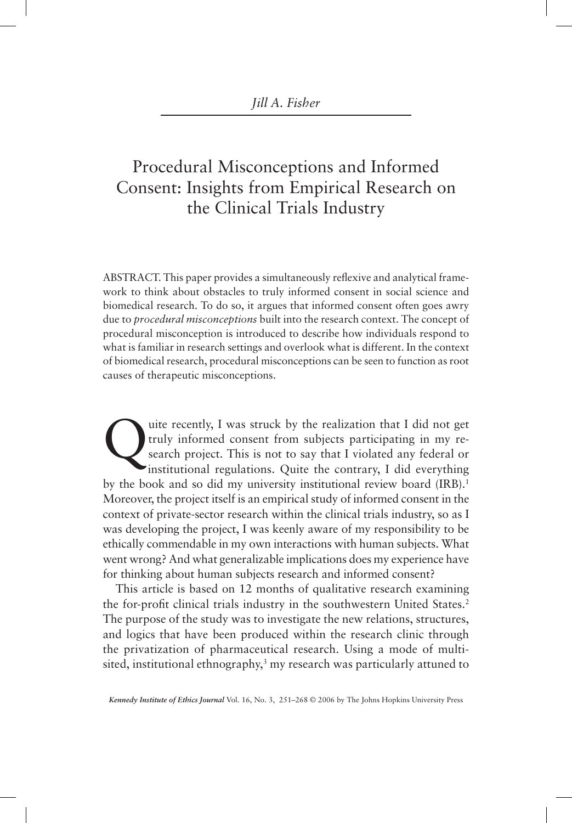# Procedural Misconceptions and Informed Consent: Insights from Empirical Research on the Clinical Trials Industry

ABSTRACT. This paper provides a simultaneously reflexive and analytical framework to think about obstacles to truly informed consent in social science and biomedical research. To do so, it argues that informed consent often goes awry due to *procedural misconceptions* built into the research context. The concept of procedural misconception is introduced to describe how individuals respond to what is familiar in research settings and overlook what is different. In the context of biomedical research, procedural misconceptions can be seen to function as root causes of therapeutic misconceptions.

Quite recently, I was struck by the realization that I did not get<br>truly informed consent from subjects participating in my re-<br>search project. This is not to say that I violated any federal or<br>institutional goalsting. Qui truly informed consent from subjects participating in my research project. This is not to say that I violated any federal or institutional regulations. Quite the contrary, I did everything by the book and so did my university institutional review board (IRB).<sup>1</sup> Moreover, the project itself is an empirical study of informed consent in the context of private-sector research within the clinical trials industry, so as I was developing the project, I was keenly aware of my responsibility to be ethically commendable in my own interactions with human subjects. What went wrong? And what generalizable implications does my experience have for thinking about human subjects research and informed consent?

This article is based on 12 months of qualitative research examining the for-profit clinical trials industry in the southwestern United States.2 The purpose of the study was to investigate the new relations, structures, and logics that have been produced within the research clinic through the privatization of pharmaceutical research. Using a mode of multisited, institutional ethnography,<sup>3</sup> my research was particularly attuned to

*Kennedy Institute of Ethics Journal* Vol. 16, No. 3, 251–268 © 2006 by The Johns Hopkins University Press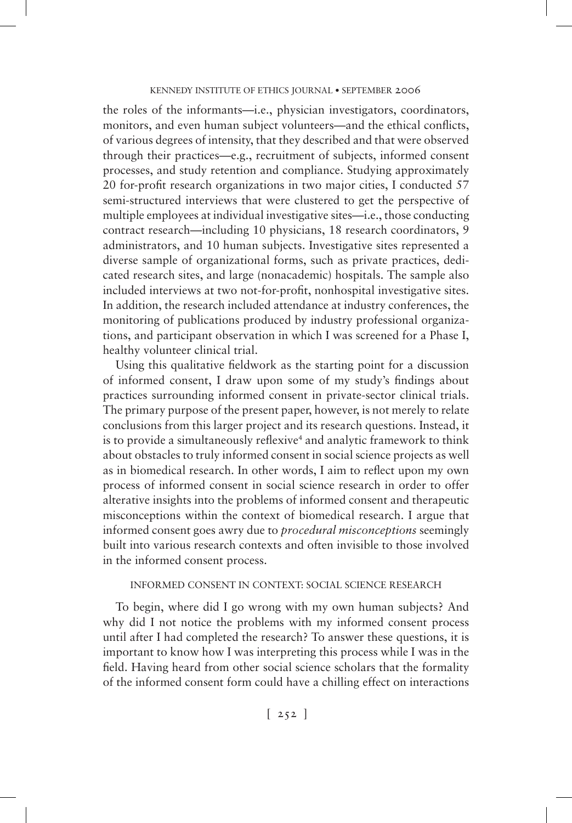the roles of the informants—i.e., physician investigators, coordinators, monitors, and even human subject volunteers—and the ethical conflicts, of various degrees of intensity, that they described and that were observed through their practices—e.g., recruitment of subjects, informed consent processes, and study retention and compliance. Studying approximately 20 for-profit research organizations in two major cities, I conducted 57 semi-structured interviews that were clustered to get the perspective of multiple employees at individual investigative sites—i.e., those conducting contract research—including 10 physicians, 18 research coordinators, 9 administrators, and 10 human subjects. Investigative sites represented a diverse sample of organizational forms, such as private practices, dedicated research sites, and large (nonacademic) hospitals. The sample also included interviews at two not-for-profit, nonhospital investigative sites. In addition, the research included attendance at industry conferences, the monitoring of publications produced by industry professional organizations, and participant observation in which I was screened for a Phase I, healthy volunteer clinical trial.

Using this qualitative fieldwork as the starting point for a discussion of informed consent, I draw upon some of my study's findings about practices surrounding informed consent in private-sector clinical trials. The primary purpose of the present paper, however, is not merely to relate conclusions from this larger project and its research questions. Instead, it is to provide a simultaneously reflexive<sup>4</sup> and analytic framework to think about obstacles to truly informed consent in social science projects as well as in biomedical research. In other words, I aim to reflect upon my own process of informed consent in social science research in order to offer alterative insights into the problems of informed consent and therapeutic misconceptions within the context of biomedical research. I argue that informed consent goes awry due to *procedural misconceptions* seemingly built into various research contexts and often invisible to those involved in the informed consent process.

## INFORMED CONSENT IN CONTEXT: SOCIAL SCIENCE RESEARCH

To begin, where did I go wrong with my own human subjects? And why did I not notice the problems with my informed consent process until after I had completed the research? To answer these questions, it is important to know how I was interpreting this process while I was in the field. Having heard from other social science scholars that the formality of the informed consent form could have a chilling effect on interactions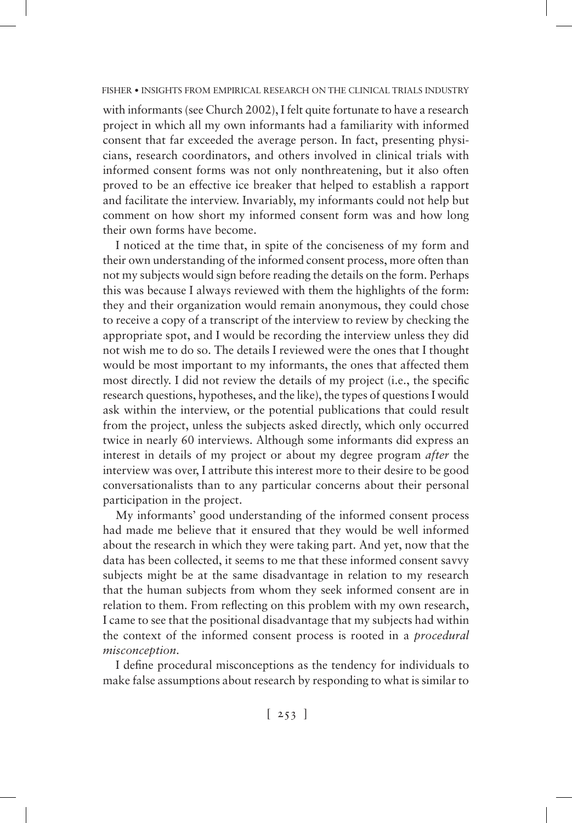with informants (see Church 2002), I felt quite fortunate to have a research project in which all my own informants had a familiarity with informed consent that far exceeded the average person. In fact, presenting physicians, research coordinators, and others involved in clinical trials with informed consent forms was not only nonthreatening, but it also often proved to be an effective ice breaker that helped to establish a rapport and facilitate the interview. Invariably, my informants could not help but comment on how short my informed consent form was and how long their own forms have become.

I noticed at the time that, in spite of the conciseness of my form and their own understanding of the informed consent process, more often than not my subjects would sign before reading the details on the form. Perhaps this was because I always reviewed with them the highlights of the form: they and their organization would remain anonymous, they could chose to receive a copy of a transcript of the interview to review by checking the appropriate spot, and I would be recording the interview unless they did not wish me to do so. The details I reviewed were the ones that I thought would be most important to my informants, the ones that affected them most directly. I did not review the details of my project (i.e., the specific research questions, hypotheses, and the like), the types of questions I would ask within the interview, or the potential publications that could result from the project, unless the subjects asked directly, which only occurred twice in nearly 60 interviews. Although some informants did express an interest in details of my project or about my degree program *after* the interview was over, I attribute this interest more to their desire to be good conversationalists than to any particular concerns about their personal participation in the project.

My informants' good understanding of the informed consent process had made me believe that it ensured that they would be well informed about the research in which they were taking part. And yet, now that the data has been collected, it seems to me that these informed consent savvy subjects might be at the same disadvantage in relation to my research that the human subjects from whom they seek informed consent are in relation to them. From reflecting on this problem with my own research, I came to see that the positional disadvantage that my subjects had within the context of the informed consent process is rooted in a *procedural misconception*.

I define procedural misconceptions as the tendency for individuals to make false assumptions about research by responding to what is similar to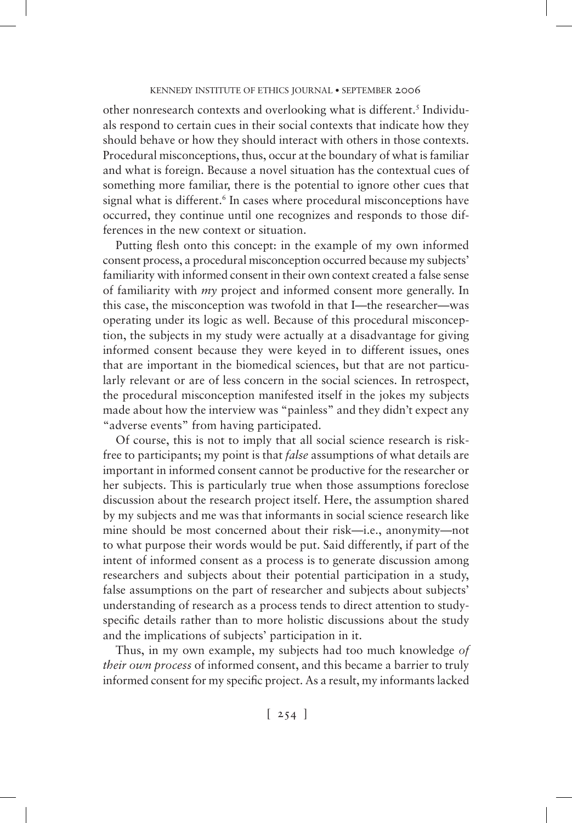other nonresearch contexts and overlooking what is different.<sup>5</sup> Individuals respond to certain cues in their social contexts that indicate how they should behave or how they should interact with others in those contexts. Procedural misconceptions, thus, occur at the boundary of what is familiar and what is foreign. Because a novel situation has the contextual cues of something more familiar, there is the potential to ignore other cues that signal what is different.<sup>6</sup> In cases where procedural misconceptions have occurred, they continue until one recognizes and responds to those differences in the new context or situation.

Putting flesh onto this concept: in the example of my own informed consent process, a procedural misconception occurred because my subjects' familiarity with informed consent in their own context created a false sense of familiarity with *my* project and informed consent more generally. In this case, the misconception was twofold in that I—the researcher—was operating under its logic as well. Because of this procedural misconception, the subjects in my study were actually at a disadvantage for giving informed consent because they were keyed in to different issues, ones that are important in the biomedical sciences, but that are not particularly relevant or are of less concern in the social sciences. In retrospect, the procedural misconception manifested itself in the jokes my subjects made about how the interview was "painless" and they didn't expect any "adverse events" from having participated.

Of course, this is not to imply that all social science research is riskfree to participants; my point is that *false* assumptions of what details are important in informed consent cannot be productive for the researcher or her subjects. This is particularly true when those assumptions foreclose discussion about the research project itself. Here, the assumption shared by my subjects and me was that informants in social science research like mine should be most concerned about their risk—i.e., anonymity—not to what purpose their words would be put. Said differently, if part of the intent of informed consent as a process is to generate discussion among researchers and subjects about their potential participation in a study, false assumptions on the part of researcher and subjects about subjects' understanding of research as a process tends to direct attention to studyspecific details rather than to more holistic discussions about the study and the implications of subjects' participation in it.

Thus, in my own example, my subjects had too much knowledge *of their own process* of informed consent, and this became a barrier to truly informed consent for my specific project. As a result, my informants lacked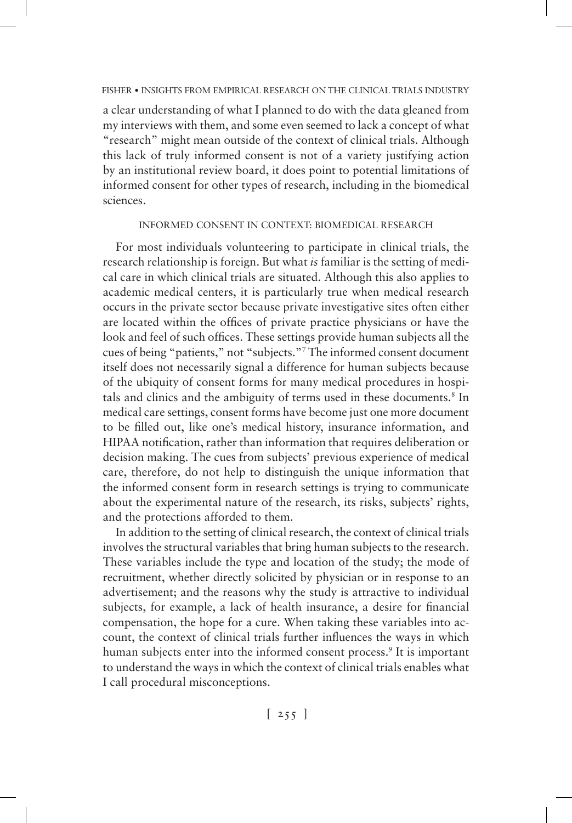a clear understanding of what I planned to do with the data gleaned from my interviews with them, and some even seemed to lack a concept of what "research" might mean outside of the context of clinical trials. Although this lack of truly informed consent is not of a variety justifying action by an institutional review board, it does point to potential limitations of informed consent for other types of research, including in the biomedical sciences.

# INFORMED CONSENT IN CONTEXT: BIOMEDICAL RESEARCH

For most individuals volunteering to participate in clinical trials, the research relationship is foreign. But what *is* familiar is the setting of medical care in which clinical trials are situated. Although this also applies to academic medical centers, it is particularly true when medical research occurs in the private sector because private investigative sites often either are located within the offices of private practice physicians or have the look and feel of such offices. These settings provide human subjects all the cues of being "patients," not "subjects."7 The informed consent document itself does not necessarily signal a difference for human subjects because of the ubiquity of consent forms for many medical procedures in hospitals and clinics and the ambiguity of terms used in these documents.<sup>8</sup> In medical care settings, consent forms have become just one more document to be filled out, like one's medical history, insurance information, and HIPAA notification, rather than information that requires deliberation or decision making. The cues from subjects' previous experience of medical care, therefore, do not help to distinguish the unique information that the informed consent form in research settings is trying to communicate about the experimental nature of the research, its risks, subjects' rights, and the protections afforded to them.

In addition to the setting of clinical research, the context of clinical trials involves the structural variables that bring human subjects to the research. These variables include the type and location of the study; the mode of recruitment, whether directly solicited by physician or in response to an advertisement; and the reasons why the study is attractive to individual subjects, for example, a lack of health insurance, a desire for financial compensation, the hope for a cure. When taking these variables into account, the context of clinical trials further influences the ways in which human subjects enter into the informed consent process.<sup>9</sup> It is important to understand the ways in which the context of clinical trials enables what I call procedural misconceptions.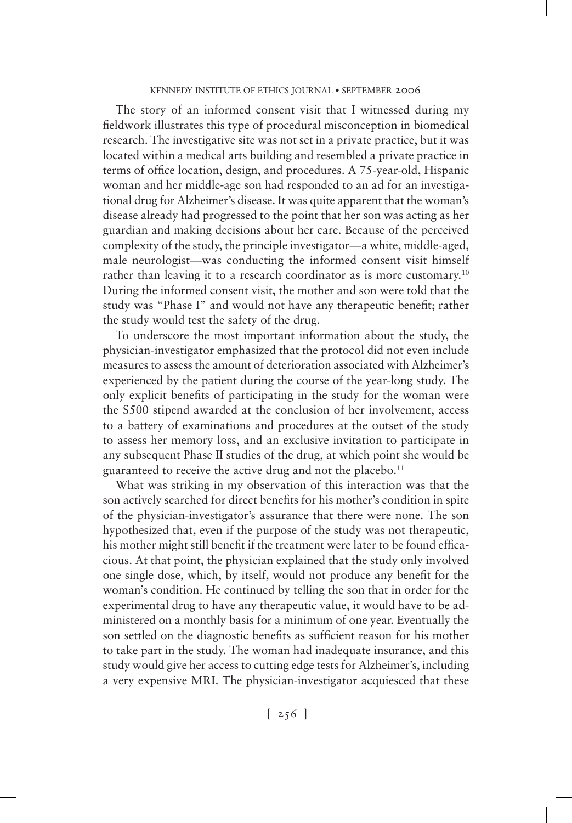The story of an informed consent visit that I witnessed during my fieldwork illustrates this type of procedural misconception in biomedical research. The investigative site was not set in a private practice, but it was located within a medical arts building and resembled a private practice in terms of office location, design, and procedures. A 75-year-old, Hispanic woman and her middle-age son had responded to an ad for an investigational drug for Alzheimer's disease. It was quite apparent that the woman's disease already had progressed to the point that her son was acting as her guardian and making decisions about her care. Because of the perceived complexity of the study, the principle investigator—a white, middle-aged, male neurologist—was conducting the informed consent visit himself rather than leaving it to a research coordinator as is more customary.<sup>10</sup> During the informed consent visit, the mother and son were told that the study was "Phase I" and would not have any therapeutic benefit; rather the study would test the safety of the drug.

To underscore the most important information about the study, the physician-investigator emphasized that the protocol did not even include measures to assess the amount of deterioration associated with Alzheimer's experienced by the patient during the course of the year-long study. The only explicit benefits of participating in the study for the woman were the \$500 stipend awarded at the conclusion of her involvement, access to a battery of examinations and procedures at the outset of the study to assess her memory loss, and an exclusive invitation to participate in any subsequent Phase II studies of the drug, at which point she would be guaranteed to receive the active drug and not the placebo.<sup>11</sup>

What was striking in my observation of this interaction was that the son actively searched for direct benefits for his mother's condition in spite of the physician-investigator's assurance that there were none. The son hypothesized that, even if the purpose of the study was not therapeutic, his mother might still benefit if the treatment were later to be found efficacious. At that point, the physician explained that the study only involved one single dose, which, by itself, would not produce any benefit for the woman's condition. He continued by telling the son that in order for the experimental drug to have any therapeutic value, it would have to be administered on a monthly basis for a minimum of one year. Eventually the son settled on the diagnostic benefits as sufficient reason for his mother to take part in the study. The woman had inadequate insurance, and this study would give her access to cutting edge tests for Alzheimer's, including a very expensive MRI. The physician-investigator acquiesced that these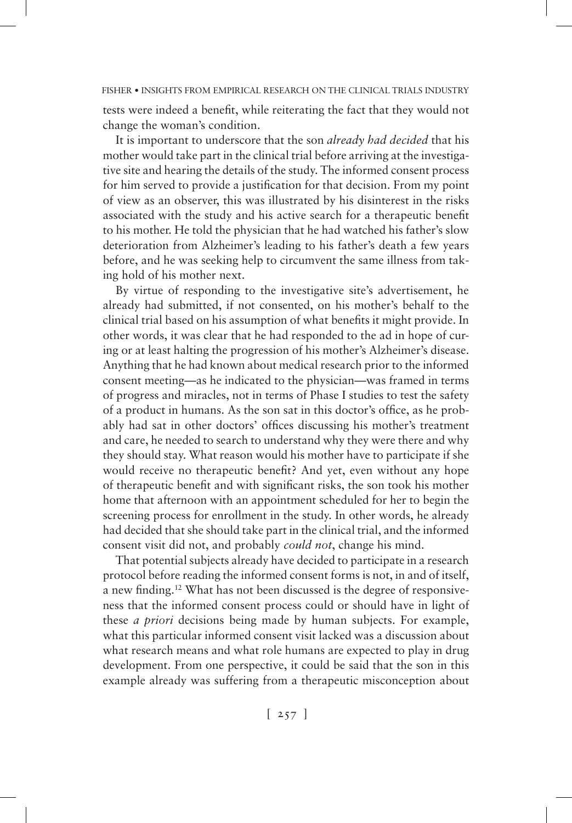tests were indeed a benefit, while reiterating the fact that they would not change the woman's condition.

It is important to underscore that the son *already had decided* that his mother would take part in the clinical trial before arriving at the investigative site and hearing the details of the study. The informed consent process for him served to provide a justification for that decision. From my point of view as an observer, this was illustrated by his disinterest in the risks associated with the study and his active search for a therapeutic benefit to his mother. He told the physician that he had watched his father's slow deterioration from Alzheimer's leading to his father's death a few years before, and he was seeking help to circumvent the same illness from taking hold of his mother next.

By virtue of responding to the investigative site's advertisement, he already had submitted, if not consented, on his mother's behalf to the clinical trial based on his assumption of what benefits it might provide. In other words, it was clear that he had responded to the ad in hope of curing or at least halting the progression of his mother's Alzheimer's disease. Anything that he had known about medical research prior to the informed consent meeting—as he indicated to the physician—was framed in terms of progress and miracles, not in terms of Phase I studies to test the safety of a product in humans. As the son sat in this doctor's office, as he probably had sat in other doctors' offices discussing his mother's treatment and care, he needed to search to understand why they were there and why they should stay. What reason would his mother have to participate if she would receive no therapeutic benefit? And yet, even without any hope of therapeutic benefit and with significant risks, the son took his mother home that afternoon with an appointment scheduled for her to begin the screening process for enrollment in the study. In other words, he already had decided that she should take part in the clinical trial, and the informed consent visit did not, and probably *could not*, change his mind.

That potential subjects already have decided to participate in a research protocol before reading the informed consent forms is not, in and of itself, a new finding.12 What has not been discussed is the degree of responsiveness that the informed consent process could or should have in light of these *a priori* decisions being made by human subjects. For example, what this particular informed consent visit lacked was a discussion about what research means and what role humans are expected to play in drug development. From one perspective, it could be said that the son in this example already was suffering from a therapeutic misconception about

 $\begin{bmatrix} 257 \end{bmatrix}$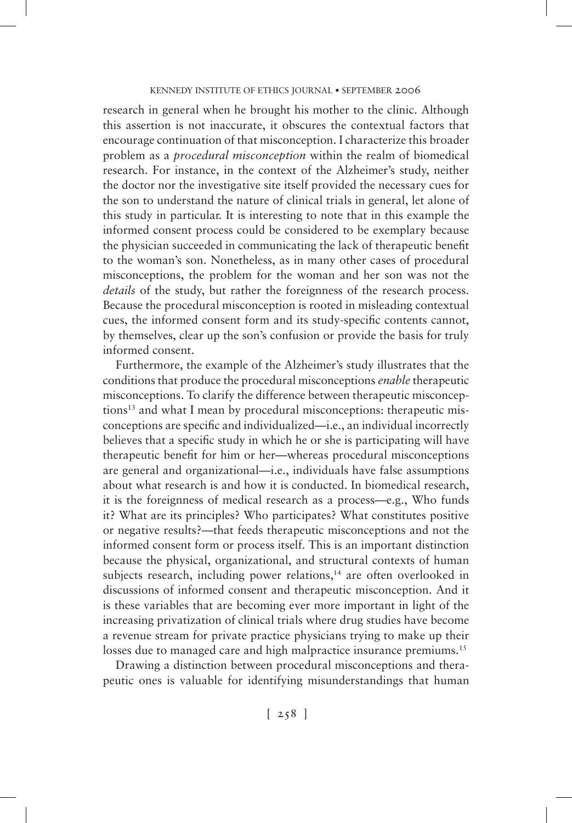research in general when he brought his mother to the clinic. Although this assertion is not inaccurate, it obscures the contextual factors that encourage continuation of that misconception. I characterize this broader problem as a *procedural misconception* within the realm of biomedical research. For instance, in the context of the Alzheimer's study, neither the doctor nor the investigative site itself provided the necessary cues for the son to understand the nature of clinical trials in general, let alone of this study in particular. It is interesting to note that in this example the informed consent process could be considered to be exemplary because the physician succeeded in communicating the lack of therapeutic benefit to the woman's son. Nonetheless, as in many other cases of procedural misconceptions, the problem for the woman and her son was not the *details* of the study, but rather the foreignness of the research process. Because the procedural misconception is rooted in misleading contextual cues, the informed consent form and its study-specific contents cannot, by themselves, clear up the son's confusion or provide the basis for truly informed consent.

Furthermore, the example of the Alzheimer's study illustrates that the conditions that produce the procedural misconceptions *enable* therapeutic misconceptions. To clarify the difference between therapeutic misconceptions<sup>13</sup> and what I mean by procedural misconceptions: therapeutic misconceptions are specific and individualized—i.e., an individual incorrectly believes that a specific study in which he or she is participating will have therapeutic benefit for him or her—whereas procedural misconceptions are general and organizational—i.e., individuals have false assumptions about what research is and how it is conducted. In biomedical research, it is the foreignness of medical research as a process—e.g., Who funds it? What are its principles? Who participates? What constitutes positive or negative results?—that feeds therapeutic misconceptions and not the informed consent form or process itself. This is an important distinction because the physical, organizational, and structural contexts of human subjects research, including power relations,<sup>14</sup> are often overlooked in discussions of informed consent and therapeutic misconception. And it is these variables that are becoming ever more important in light of the increasing privatization of clinical trials where drug studies have become a revenue stream for private practice physicians trying to make up their losses due to managed care and high malpractice insurance premiums.<sup>15</sup>

Drawing a distinction between procedural misconceptions and therapeutic ones is valuable for identifying misunderstandings that human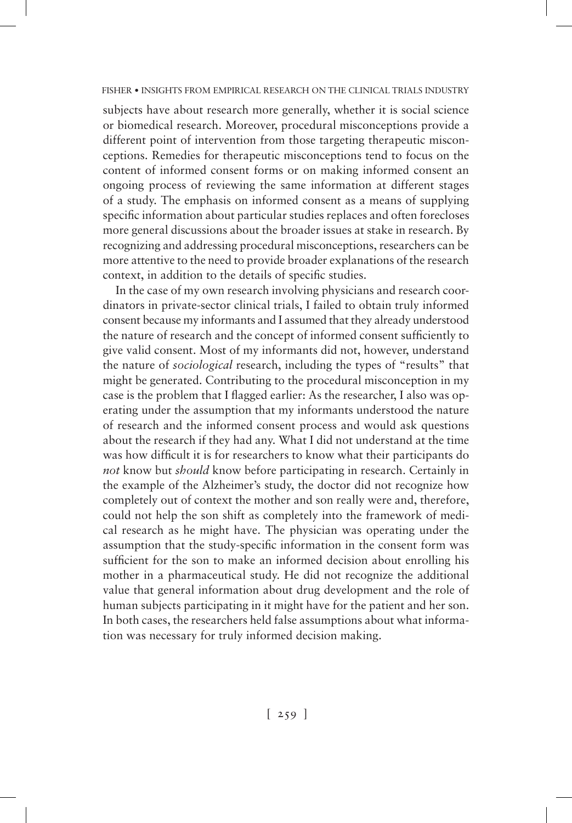subjects have about research more generally, whether it is social science or biomedical research. Moreover, procedural misconceptions provide a different point of intervention from those targeting therapeutic misconceptions. Remedies for therapeutic misconceptions tend to focus on the content of informed consent forms or on making informed consent an ongoing process of reviewing the same information at different stages of a study. The emphasis on informed consent as a means of supplying specific information about particular studies replaces and often forecloses more general discussions about the broader issues at stake in research. By recognizing and addressing procedural misconceptions, researchers can be more attentive to the need to provide broader explanations of the research context, in addition to the details of specific studies.

In the case of my own research involving physicians and research coordinators in private-sector clinical trials, I failed to obtain truly informed consent because my informants and I assumed that they already understood the nature of research and the concept of informed consent sufficiently to give valid consent. Most of my informants did not, however, understand the nature of *sociological* research, including the types of "results" that might be generated. Contributing to the procedural misconception in my case is the problem that I flagged earlier: As the researcher, I also was operating under the assumption that my informants understood the nature of research and the informed consent process and would ask questions about the research if they had any. What I did not understand at the time was how difficult it is for researchers to know what their participants do *not* know but *should* know before participating in research. Certainly in the example of the Alzheimer's study, the doctor did not recognize how completely out of context the mother and son really were and, therefore, could not help the son shift as completely into the framework of medical research as he might have. The physician was operating under the assumption that the study-specific information in the consent form was sufficient for the son to make an informed decision about enrolling his mother in a pharmaceutical study. He did not recognize the additional value that general information about drug development and the role of human subjects participating in it might have for the patient and her son. In both cases, the researchers held false assumptions about what information was necessary for truly informed decision making.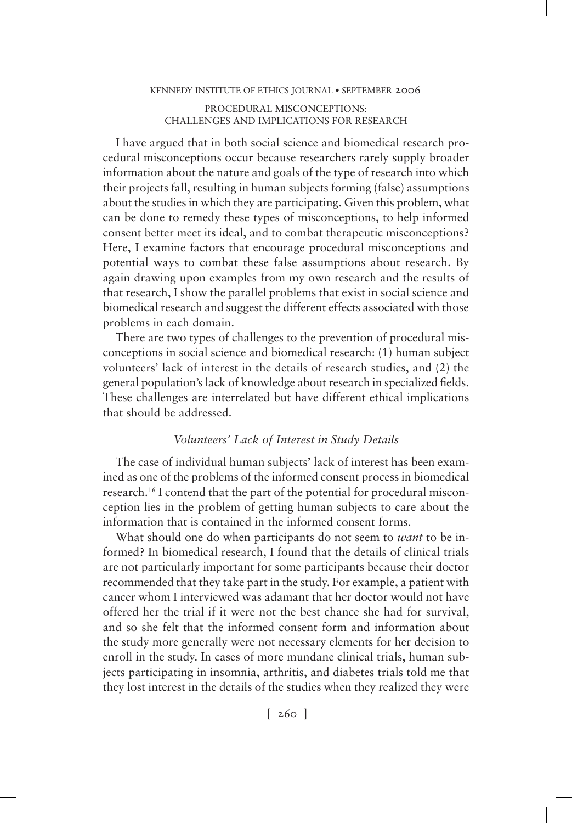# kennedy institute of ethics journal • september 2006 PROCEDURAL MISCONCEPTIONS: CHALLENGES AND IMPLICATIONS FOR RESEARCH

I have argued that in both social science and biomedical research procedural misconceptions occur because researchers rarely supply broader information about the nature and goals of the type of research into which their projects fall, resulting in human subjects forming (false) assumptions about the studies in which they are participating. Given this problem, what can be done to remedy these types of misconceptions, to help informed consent better meet its ideal, and to combat therapeutic misconceptions? Here, I examine factors that encourage procedural misconceptions and potential ways to combat these false assumptions about research. By again drawing upon examples from my own research and the results of that research, I show the parallel problems that exist in social science and biomedical research and suggest the different effects associated with those problems in each domain.

There are two types of challenges to the prevention of procedural misconceptions in social science and biomedical research: (1) human subject volunteers' lack of interest in the details of research studies, and (2) the general population's lack of knowledge about research in specialized fields. These challenges are interrelated but have different ethical implications that should be addressed.

# *Volunteers' Lack of Interest in Study Details*

The case of individual human subjects' lack of interest has been examined as one of the problems of the informed consent process in biomedical research.16 I contend that the part of the potential for procedural misconception lies in the problem of getting human subjects to care about the information that is contained in the informed consent forms.

What should one do when participants do not seem to *want* to be informed? In biomedical research, I found that the details of clinical trials are not particularly important for some participants because their doctor recommended that they take part in the study. For example, a patient with cancer whom I interviewed was adamant that her doctor would not have offered her the trial if it were not the best chance she had for survival, and so she felt that the informed consent form and information about the study more generally were not necessary elements for her decision to enroll in the study. In cases of more mundane clinical trials, human subjects participating in insomnia, arthritis, and diabetes trials told me that they lost interest in the details of the studies when they realized they were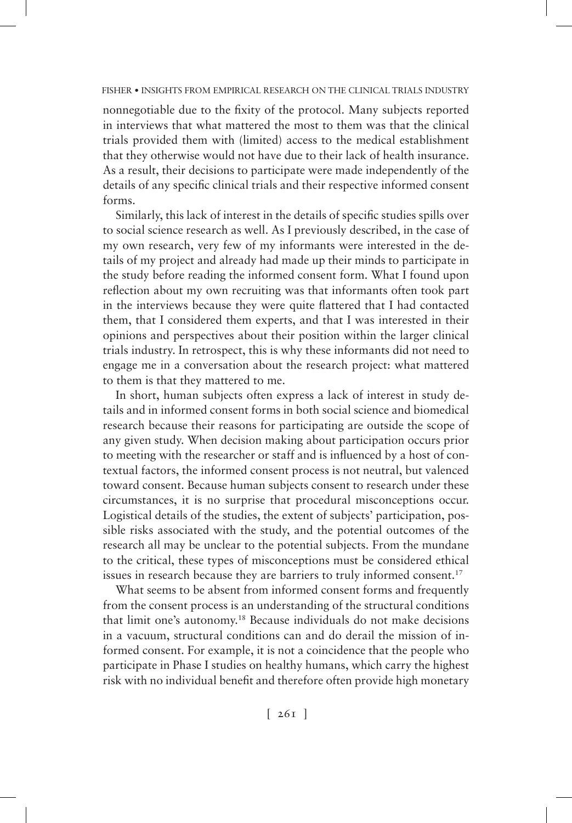nonnegotiable due to the fixity of the protocol. Many subjects reported in interviews that what mattered the most to them was that the clinical trials provided them with (limited) access to the medical establishment that they otherwise would not have due to their lack of health insurance. As a result, their decisions to participate were made independently of the details of any specific clinical trials and their respective informed consent forms.

Similarly, this lack of interest in the details of specific studies spills over to social science research as well. As I previously described, in the case of my own research, very few of my informants were interested in the details of my project and already had made up their minds to participate in the study before reading the informed consent form. What I found upon reflection about my own recruiting was that informants often took part in the interviews because they were quite flattered that I had contacted them, that I considered them experts, and that I was interested in their opinions and perspectives about their position within the larger clinical trials industry. In retrospect, this is why these informants did not need to engage me in a conversation about the research project: what mattered to them is that they mattered to me.

In short, human subjects often express a lack of interest in study details and in informed consent forms in both social science and biomedical research because their reasons for participating are outside the scope of any given study. When decision making about participation occurs prior to meeting with the researcher or staff and is influenced by a host of contextual factors, the informed consent process is not neutral, but valenced toward consent. Because human subjects consent to research under these circumstances, it is no surprise that procedural misconceptions occur. Logistical details of the studies, the extent of subjects' participation, possible risks associated with the study, and the potential outcomes of the research all may be unclear to the potential subjects. From the mundane to the critical, these types of misconceptions must be considered ethical issues in research because they are barriers to truly informed consent.17

What seems to be absent from informed consent forms and frequently from the consent process is an understanding of the structural conditions that limit one's autonomy.18 Because individuals do not make decisions in a vacuum, structural conditions can and do derail the mission of informed consent. For example, it is not a coincidence that the people who participate in Phase I studies on healthy humans, which carry the highest risk with no individual benefit and therefore often provide high monetary

 $\lceil 261 \rceil$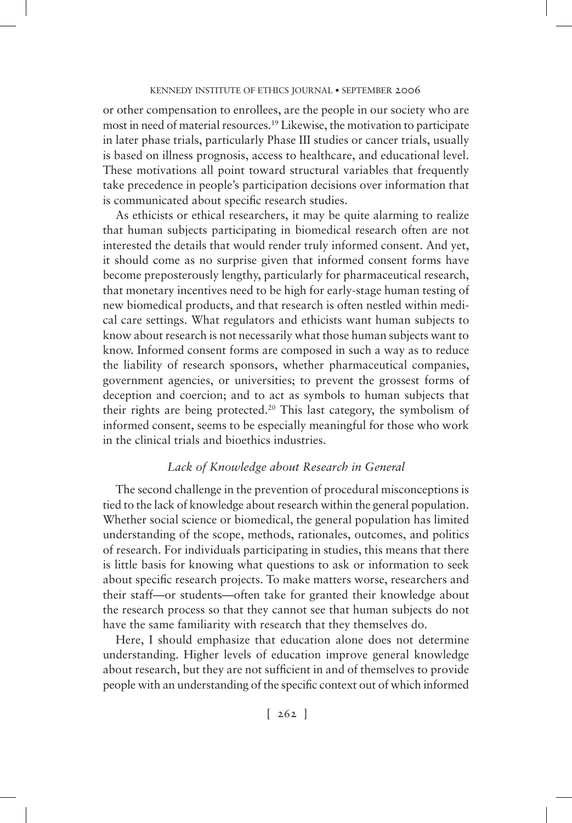or other compensation to enrollees, are the people in our society who are most in need of material resources.19 Likewise, the motivation to participate in later phase trials, particularly Phase III studies or cancer trials, usually is based on illness prognosis, access to healthcare, and educational level. These motivations all point toward structural variables that frequently take precedence in people's participation decisions over information that is communicated about specific research studies.

As ethicists or ethical researchers, it may be quite alarming to realize that human subjects participating in biomedical research often are not interested the details that would render truly informed consent. And yet, it should come as no surprise given that informed consent forms have become preposterously lengthy, particularly for pharmaceutical research, that monetary incentives need to be high for early-stage human testing of new biomedical products, and that research is often nestled within medical care settings. What regulators and ethicists want human subjects to know about research is not necessarily what those human subjects want to know. Informed consent forms are composed in such a way as to reduce the liability of research sponsors, whether pharmaceutical companies, government agencies, or universities; to prevent the grossest forms of deception and coercion; and to act as symbols to human subjects that their rights are being protected.20 This last category, the symbolism of informed consent, seems to be especially meaningful for those who work in the clinical trials and bioethics industries.

# *Lack of Knowledge about Research in General*

The second challenge in the prevention of procedural misconceptions is tied to the lack of knowledge about research within the general population. Whether social science or biomedical, the general population has limited understanding of the scope, methods, rationales, outcomes, and politics of research. For individuals participating in studies, this means that there is little basis for knowing what questions to ask or information to seek about specific research projects. To make matters worse, researchers and their staff—or students—often take for granted their knowledge about the research process so that they cannot see that human subjects do not have the same familiarity with research that they themselves do.

Here, I should emphasize that education alone does not determine understanding. Higher levels of education improve general knowledge about research, but they are not sufficient in and of themselves to provide people with an understanding of the specific context out of which informed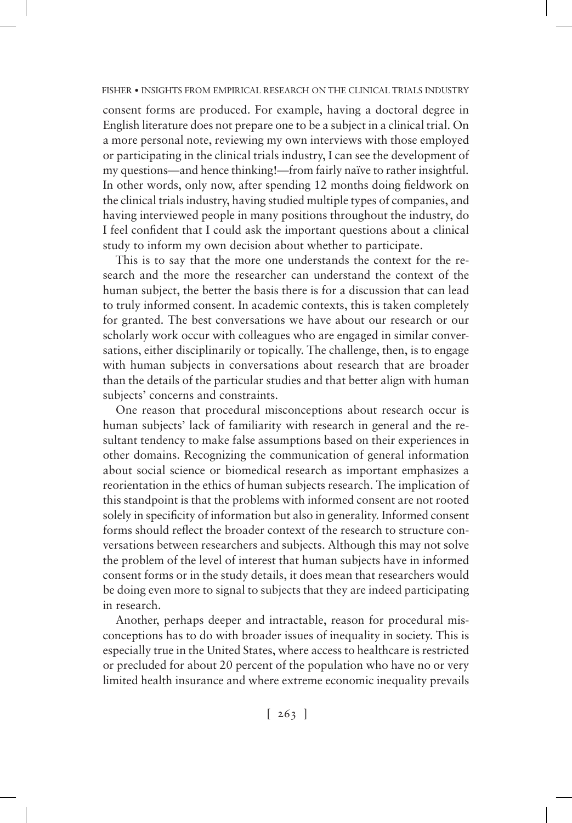consent forms are produced. For example, having a doctoral degree in English literature does not prepare one to be a subject in a clinical trial. On a more personal note, reviewing my own interviews with those employed or participating in the clinical trials industry, I can see the development of my questions—and hence thinking!—from fairly naïve to rather insightful. In other words, only now, after spending 12 months doing fieldwork on the clinical trials industry, having studied multiple types of companies, and having interviewed people in many positions throughout the industry, do I feel confident that I could ask the important questions about a clinical study to inform my own decision about whether to participate.

This is to say that the more one understands the context for the research and the more the researcher can understand the context of the human subject, the better the basis there is for a discussion that can lead to truly informed consent. In academic contexts, this is taken completely for granted. The best conversations we have about our research or our scholarly work occur with colleagues who are engaged in similar conversations, either disciplinarily or topically. The challenge, then, is to engage with human subjects in conversations about research that are broader than the details of the particular studies and that better align with human subjects' concerns and constraints.

One reason that procedural misconceptions about research occur is human subjects' lack of familiarity with research in general and the resultant tendency to make false assumptions based on their experiences in other domains. Recognizing the communication of general information about social science or biomedical research as important emphasizes a reorientation in the ethics of human subjects research. The implication of this standpoint is that the problems with informed consent are not rooted solely in specificity of information but also in generality. Informed consent forms should reflect the broader context of the research to structure conversations between researchers and subjects. Although this may not solve the problem of the level of interest that human subjects have in informed consent forms or in the study details, it does mean that researchers would be doing even more to signal to subjects that they are indeed participating in research.

Another, perhaps deeper and intractable, reason for procedural misconceptions has to do with broader issues of inequality in society. This is especially true in the United States, where access to healthcare is restricted or precluded for about 20 percent of the population who have no or very limited health insurance and where extreme economic inequality prevails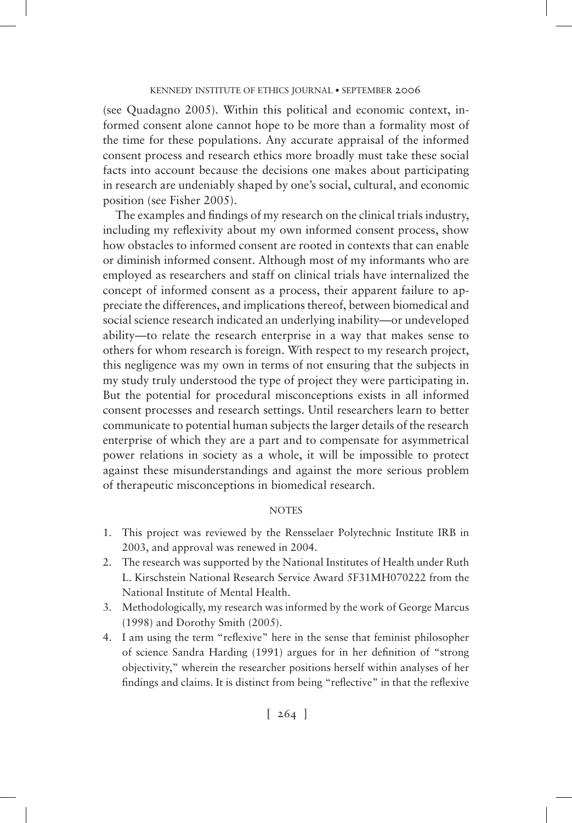(see Quadagno 2005). Within this political and economic context, informed consent alone cannot hope to be more than a formality most of the time for these populations. Any accurate appraisal of the informed consent process and research ethics more broadly must take these social facts into account because the decisions one makes about participating in research are undeniably shaped by one's social, cultural, and economic position (see Fisher 2005).

The examples and findings of my research on the clinical trials industry, including my reflexivity about my own informed consent process, show how obstacles to informed consent are rooted in contexts that can enable or diminish informed consent. Although most of my informants who are employed as researchers and staff on clinical trials have internalized the concept of informed consent as a process, their apparent failure to appreciate the differences, and implications thereof, between biomedical and social science research indicated an underlying inability—or undeveloped ability—to relate the research enterprise in a way that makes sense to others for whom research is foreign. With respect to my research project, this negligence was my own in terms of not ensuring that the subjects in my study truly understood the type of project they were participating in. But the potential for procedural misconceptions exists in all informed consent processes and research settings. Until researchers learn to better communicate to potential human subjects the larger details of the research enterprise of which they are a part and to compensate for asymmetrical power relations in society as a whole, it will be impossible to protect against these misunderstandings and against the more serious problem of therapeutic misconceptions in biomedical research.

## **NOTES**

- 1. This project was reviewed by the Rensselaer Polytechnic Institute IRB in 2003, and approval was renewed in 2004.
- 2. The research was supported by the National Institutes of Health under Ruth L. Kirschstein National Research Service Award 5F31MH070222 from the National Institute of Mental Health.
- 3. Methodologically, my research was informed by the work of George Marcus (1998) and Dorothy Smith (2005).
- 4. I am using the term "reflexive" here in the sense that feminist philosopher of science Sandra Harding (1991) argues for in her definition of "strong objectivity," wherein the researcher positions herself within analyses of her findings and claims. It is distinct from being "reflective" in that the reflexive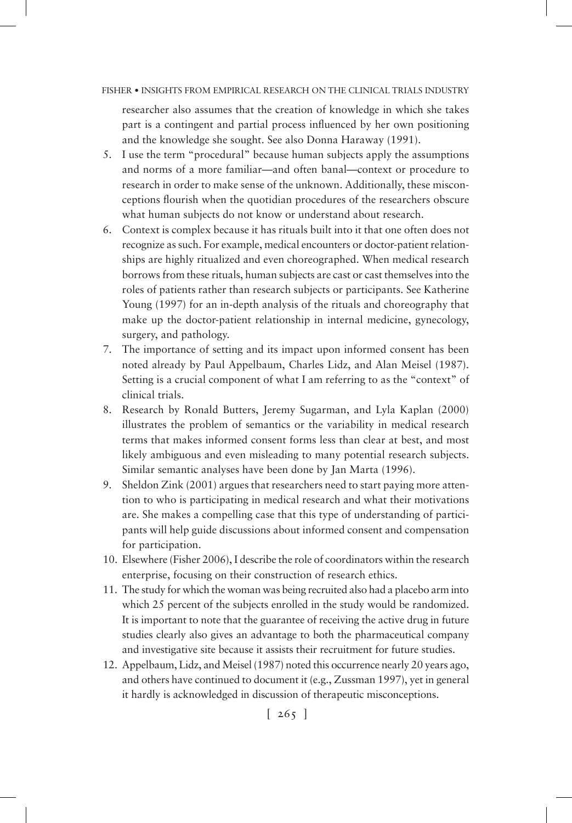researcher also assumes that the creation of knowledge in which she takes part is a contingent and partial process influenced by her own positioning and the knowledge she sought. See also Donna Haraway (1991).

- 5. I use the term "procedural" because human subjects apply the assumptions and norms of a more familiar—and often banal—context or procedure to research in order to make sense of the unknown. Additionally, these misconceptions flourish when the quotidian procedures of the researchers obscure what human subjects do not know or understand about research.
- 6. Context is complex because it has rituals built into it that one often does not recognize as such. For example, medical encounters or doctor-patient relationships are highly ritualized and even choreographed. When medical research borrows from these rituals, human subjects are cast or cast themselves into the roles of patients rather than research subjects or participants. See Katherine Young (1997) for an in-depth analysis of the rituals and choreography that make up the doctor-patient relationship in internal medicine, gynecology, surgery, and pathology.
- 7. The importance of setting and its impact upon informed consent has been noted already by Paul Appelbaum, Charles Lidz, and Alan Meisel (1987). Setting is a crucial component of what I am referring to as the "context" of clinical trials.
- 8. Research by Ronald Butters, Jeremy Sugarman, and Lyla Kaplan (2000) illustrates the problem of semantics or the variability in medical research terms that makes informed consent forms less than clear at best, and most likely ambiguous and even misleading to many potential research subjects. Similar semantic analyses have been done by Jan Marta (1996).
- 9. Sheldon Zink (2001) argues that researchers need to start paying more attention to who is participating in medical research and what their motivations are. She makes a compelling case that this type of understanding of participants will help guide discussions about informed consent and compensation for participation.
- 10. Elsewhere (Fisher 2006), I describe the role of coordinators within the research enterprise, focusing on their construction of research ethics.
- 11. The study for which the woman was being recruited also had a placebo arm into which 25 percent of the subjects enrolled in the study would be randomized. It is important to note that the guarantee of receiving the active drug in future studies clearly also gives an advantage to both the pharmaceutical company and investigative site because it assists their recruitment for future studies.
- 12. Appelbaum, Lidz, and Meisel (1987) noted this occurrence nearly 20 years ago, and others have continued to document it (e.g., Zussman 1997), yet in general it hardly is acknowledged in discussion of therapeutic misconceptions.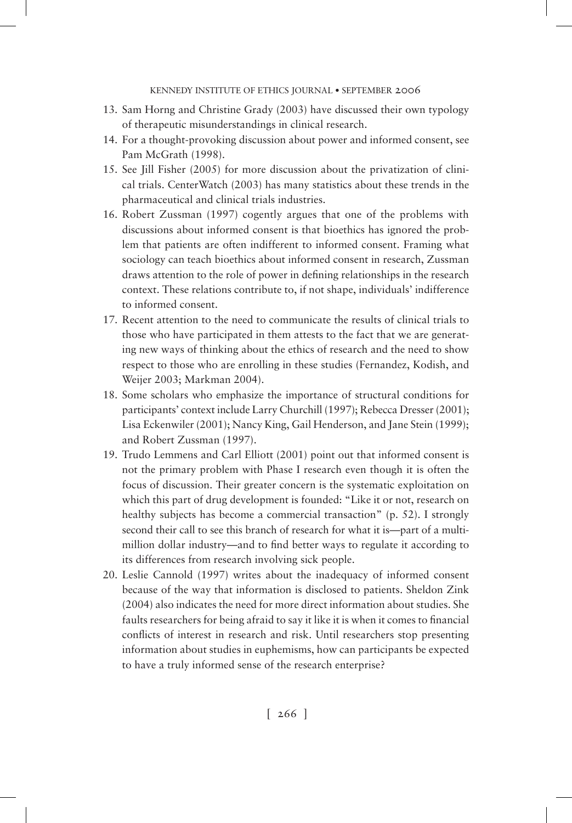- 13. Sam Horng and Christine Grady (2003) have discussed their own typology of therapeutic misunderstandings in clinical research.
- 14. For a thought-provoking discussion about power and informed consent, see Pam McGrath (1998).
- 15. See Jill Fisher (2005) for more discussion about the privatization of clinical trials. CenterWatch (2003) has many statistics about these trends in the pharmaceutical and clinical trials industries.
- 16. Robert Zussman (1997) cogently argues that one of the problems with discussions about informed consent is that bioethics has ignored the problem that patients are often indifferent to informed consent. Framing what sociology can teach bioethics about informed consent in research, Zussman draws attention to the role of power in defining relationships in the research context. These relations contribute to, if not shape, individuals' indifference to informed consent.
- 17. Recent attention to the need to communicate the results of clinical trials to those who have participated in them attests to the fact that we are generating new ways of thinking about the ethics of research and the need to show respect to those who are enrolling in these studies (Fernandez, Kodish, and Weijer 2003; Markman 2004).
- 18. Some scholars who emphasize the importance of structural conditions for participants' context include Larry Churchill (1997); Rebecca Dresser (2001); Lisa Eckenwiler (2001); Nancy King, Gail Henderson, and Jane Stein (1999); and Robert Zussman (1997).
- 19. Trudo Lemmens and Carl Elliott (2001) point out that informed consent is not the primary problem with Phase I research even though it is often the focus of discussion. Their greater concern is the systematic exploitation on which this part of drug development is founded: "Like it or not, research on healthy subjects has become a commercial transaction" (p. 52). I strongly second their call to see this branch of research for what it is—part of a multimillion dollar industry—and to find better ways to regulate it according to its differences from research involving sick people.
- 20. Leslie Cannold (1997) writes about the inadequacy of informed consent because of the way that information is disclosed to patients. Sheldon Zink (2004) also indicates the need for more direct information about studies. She faults researchers for being afraid to say it like it is when it comes to financial conflicts of interest in research and risk. Until researchers stop presenting information about studies in euphemisms, how can participants be expected to have a truly informed sense of the research enterprise?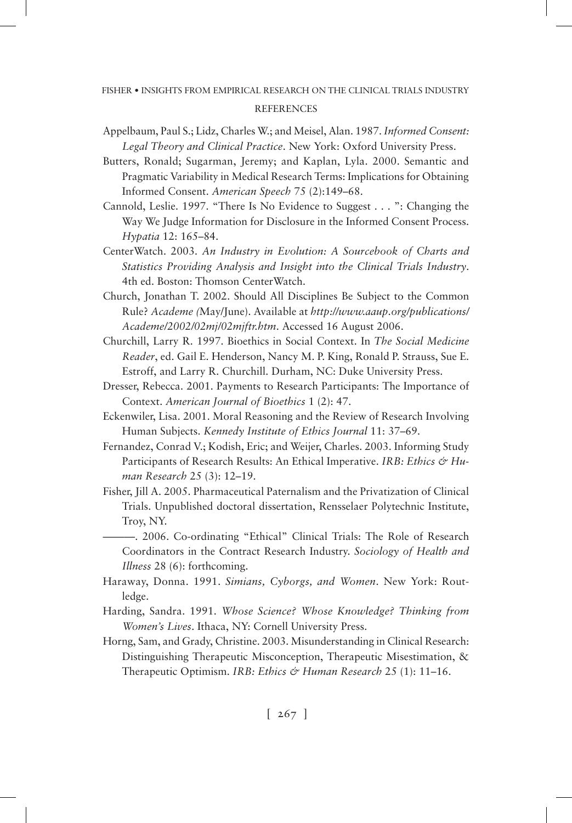### **REFERENCES**

- Appelbaum, Paul S.; Lidz, Charles W.; and Meisel, Alan. 1987. *Informed Consent: Legal Theory and Clinical Practice*. New York: Oxford University Press.
- Butters, Ronald; Sugarman, Jeremy; and Kaplan, Lyla. 2000. Semantic and Pragmatic Variability in Medical Research Terms: Implications for Obtaining Informed Consent. *American Speech* 75 (2):149–68.
- Cannold, Leslie. 1997. "There Is No Evidence to Suggest . . . ": Changing the Way We Judge Information for Disclosure in the Informed Consent Process. *Hypatia* 12: 165–84.
- CenterWatch. 2003. *An Industry in Evolution: A Sourcebook of Charts and Statistics Providing Analysis and Insight into the Clinical Trials Industry*. 4th ed. Boston: Thomson CenterWatch.
- Church, Jonathan T. 2002. Should All Disciplines Be Subject to the Common Rule? *Academe (*May/June). Available at *http://www.aaup.org/publications/ Academe/2002/02mj/02mjftr.htm*. Accessed 16 August 2006.
- Churchill, Larry R. 1997. Bioethics in Social Context. In *The Social Medicine Reader*, ed. Gail E. Henderson, Nancy M. P. King, Ronald P. Strauss, Sue E. Estroff, and Larry R. Churchill. Durham, NC: Duke University Press.
- Dresser, Rebecca. 2001. Payments to Research Participants: The Importance of Context. *American Journal of Bioethics* 1 (2): 47.
- Eckenwiler, Lisa. 2001. Moral Reasoning and the Review of Research Involving Human Subjects. *Kennedy Institute of Ethics Journal* 11: 37–69.
- Fernandez, Conrad V.; Kodish, Eric; and Weijer, Charles. 2003. Informing Study Participants of Research Results: An Ethical Imperative. *IRB: Ethics & Human Research* 25 (3): 12–19.
- Fisher, Jill A. 2005. Pharmaceutical Paternalism and the Privatization of Clinical Trials. Unpublished doctoral dissertation, Rensselaer Polytechnic Institute, Troy, NY.
	- ———. 2006. Co-ordinating "Ethical" Clinical Trials: The Role of Research Coordinators in the Contract Research Industry. *Sociology of Health and Illness* 28 (6): forthcoming.
- Haraway, Donna. 1991. *Simians, Cyborgs, and Women*. New York: Routledge.
- Harding, Sandra. 1991. *Whose Science? Whose Knowledge? Thinking from Women's Lives*. Ithaca, NY: Cornell University Press.
- Horng, Sam, and Grady, Christine. 2003. Misunderstanding in Clinical Research: Distinguishing Therapeutic Misconception, Therapeutic Misestimation, & Therapeutic Optimism. *IRB: Ethics & Human Research* 25 (1): 11–16.